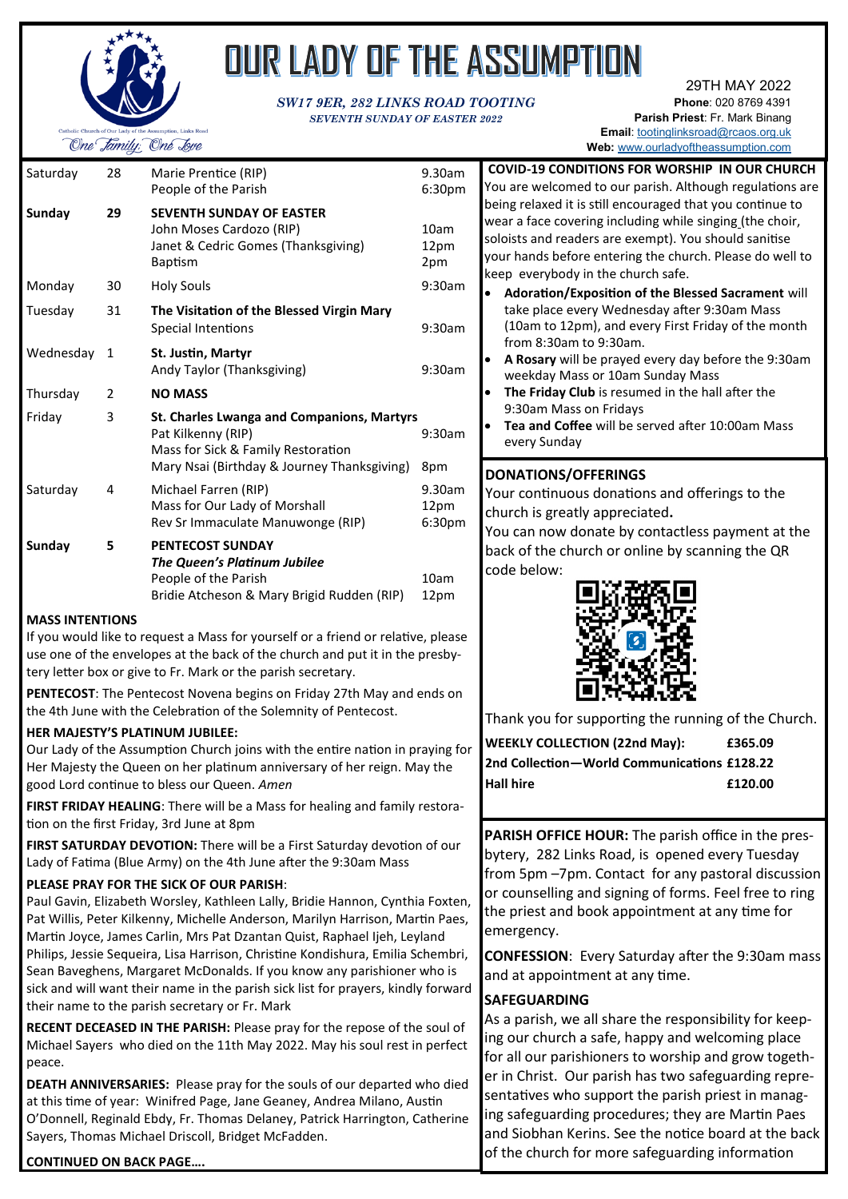

# OUR LADY OF THE ASSUMPTION

#### *SW17 9ER, 282 LINKS ROAD TOOTING SEVENTH SUNDAY OF EASTER 2022*

29TH MAY 2022 **Phone**: 020 8769 4391 **Parish Priest**: Fr. Mark Binang **Email**: [tootinglinksroad@rcaos.org.uk](mailto:tootinglinksroad@rcaos.org.uk)

**Web:** [www.ourladyoftheassumption.com](http://www.ourladyoftheassumption.com)

**COVID-19 CONDITIONS FOR WORSHIP IN OUR CHURCH** You are welcomed to our parish. Although regulations are being relaxed it is still encouraged that you continue to

| Sunday<br><b>SEVENTH SUNDAY OF EASTER</b><br>29<br>John Moses Cardozo (RIP)<br>Janet & Cedric Gomes (Thanksgiving)<br><b>Baptism</b><br>Monday<br><b>Holy Souls</b><br>30<br>31<br>Tuesday<br>The Visitation of the Blessed Virgin Mary<br><b>Special Intentions</b><br>Wednesday<br>1<br>St. Justin, Martyr<br>Andy Taylor (Thanksgiving)<br>Thursday<br><b>NO MASS</b><br>2<br>Friday<br>3<br>St. Charles Lwanga and Companions, Martyrs<br>Pat Kilkenny (RIP) | Saturday | 28 | Marie Prentice (RIP)<br>People of the Parish | 9.30am<br>6:30 <sub>pm</sub> |
|------------------------------------------------------------------------------------------------------------------------------------------------------------------------------------------------------------------------------------------------------------------------------------------------------------------------------------------------------------------------------------------------------------------------------------------------------------------|----------|----|----------------------------------------------|------------------------------|
|                                                                                                                                                                                                                                                                                                                                                                                                                                                                  |          |    |                                              | 10am<br>12pm<br>2pm          |
|                                                                                                                                                                                                                                                                                                                                                                                                                                                                  |          |    |                                              | 9:30am                       |
|                                                                                                                                                                                                                                                                                                                                                                                                                                                                  |          |    |                                              | 9:30am                       |
|                                                                                                                                                                                                                                                                                                                                                                                                                                                                  |          |    |                                              | 9:30am                       |
|                                                                                                                                                                                                                                                                                                                                                                                                                                                                  |          |    |                                              |                              |
| Mary Nsai (Birthday & Journey Thanksgiving)                                                                                                                                                                                                                                                                                                                                                                                                                      |          |    | Mass for Sick & Family Restoration           | 9:30am<br>8pm                |
| Saturday<br>4<br>Michael Farren (RIP)<br>Mass for Our Lady of Morshall<br>Rev Sr Immaculate Manuwonge (RIP)                                                                                                                                                                                                                                                                                                                                                      |          |    |                                              | 9.30am<br>12pm<br>6:30pm     |
| <b>Sunday</b><br><b>PENTECOST SUNDAY</b><br>5<br>The Queen's Platinum Jubilee<br>People of the Parish<br>Bridie Atcheson & Mary Brigid Rudden (RIP)                                                                                                                                                                                                                                                                                                              |          |    |                                              | 10am<br>12pm                 |
| <b>MASS INTENTIONS</b><br>a e Marcelle de la competituda en la fatea de la conclusión                                                                                                                                                                                                                                                                                                                                                                            |          |    |                                              |                              |

If you would like to request a Mass for yourself or a friend or relative, plea use one of the envelopes at the back of the church and put it in the presbytery letter box or give to Fr. Mark or the parish secretary.

PENTECOST: The Pentecost Novena begins on Friday 27th May and ends on the 4th June with the Celebration of the Solemnity of Pentecost.

#### **HER MAJESTY'S PLATINUM JUBILEE:**

Our Lady of the Assumption Church joins with the entire nation in praying Her Majesty the Queen on her platinum anniversary of her reign. May the good Lord continue to bless our Queen. *Amen*

**FIRST FRIDAY HEALING**: There will be a Mass for healing and family restoration on the first Friday, 3rd June at 8pm

FIRST SATURDAY DEVOTION: There will be a First Saturday devotion of our Lady of Fatima (Blue Army) on the 4th June after the 9:30am Mass

#### **PLEASE PRAY FOR THE SICK OF OUR PARISH**:

Paul Gavin, Elizabeth Worsley, Kathleen Lally, Bridie Hannon, Cynthia Foxten, Pat Willis, Peter Kilkenny, Michelle Anderson, Marilyn Harrison, Martin Paes, Martin Joyce, James Carlin, Mrs Pat Dzantan Quist, Raphael Ijeh, Leyland Philips, Jessie Sequeira, Lisa Harrison, Christine Kondishura, Emilia Schembri, Sean Baveghens, Margaret McDonalds. If you know any parishioner who is sick and will want their name in the parish sick list for prayers, kindly forward their name to the parish secretary or Fr. Mark

**RECENT DECEASED IN THE PARISH:** Please pray for the repose of the soul of Michael Sayers who died on the 11th May 2022. May his soul rest in perfect peace.

**DEATH ANNIVERSARIES:** Please pray for the souls of our departed who died at this time of year: Winifred Page, Jane Geaney, Andrea Milano, Austin O'Donnell, Reginald Ebdy, Fr. Thomas Delaney, Patrick Harrington, Catherine Sayers, Thomas Michael Driscoll, Bridget McFadden.

#### **CONTINUED ON BACK PAGE….**

|                           | wear a face covering including while singing (the choir,<br>soloists and readers are exempt). You should sanitise<br>your hands before entering the church. Please do well to<br>keep everybody in the church safe.                  |
|---------------------------|--------------------------------------------------------------------------------------------------------------------------------------------------------------------------------------------------------------------------------------|
| m<br>m                    | Adoration/Exposition of the Blessed Sacrament will<br>take place every Wednesday after 9:30am Mass<br>(10am to 12pm), and every First Friday of the month<br>from 8:30am to 9:30am.                                                  |
| m                         | A Rosary will be prayed every day before the 9:30am<br>weekday Mass or 10am Sunday Mass<br>The Friday Club is resumed in the hall after the<br>9:30am Mass on Fridays                                                                |
| m                         | Tea and Coffee will be served after 10:00am Mass<br>every Sunday                                                                                                                                                                     |
| m<br>m<br>ise<br>/-<br>'n | <b>DONATIONS/OFFERINGS</b><br>Your continuous donations and offerings to the<br>church is greatly appreciated.<br>You can now donate by contactless payment at the<br>back of the church or online by scanning the QR<br>code below: |
|                           | Thank you for supporting the running of the Church.                                                                                                                                                                                  |
| for                       | <b>WEEKLY COLLECTION (22nd May):</b><br>£365.09<br>2nd Collection-World Communications £128.22                                                                                                                                       |
| а-                        | <b>Hall hire</b><br>£120.00                                                                                                                                                                                                          |
|                           | PARISH OFFICE HOUR: The parish office in the pres-                                                                                                                                                                                   |
| ır                        |                                                                                                                                                                                                                                      |

bytery, 282 Links Road, is opened every Tuesday from 5pm –7pm. Contact for any pastoral discussion or counselling and signing of forms. Feel free to ring the priest and book appointment at any time for emergency.

**CONFESSION**: Every Saturday after the 9:30am mass and at appointment at any time.

#### **SAFEGUARDING**

As a parish, we all share the responsibility for keeping our church a safe, happy and welcoming place for all our parishioners to worship and grow together in Christ. Our parish has two safeguarding representatives who support the parish priest in managing safeguarding procedures; they are Martin Paes and Siobhan Kerins. See the notice board at the back of the church for more safeguarding information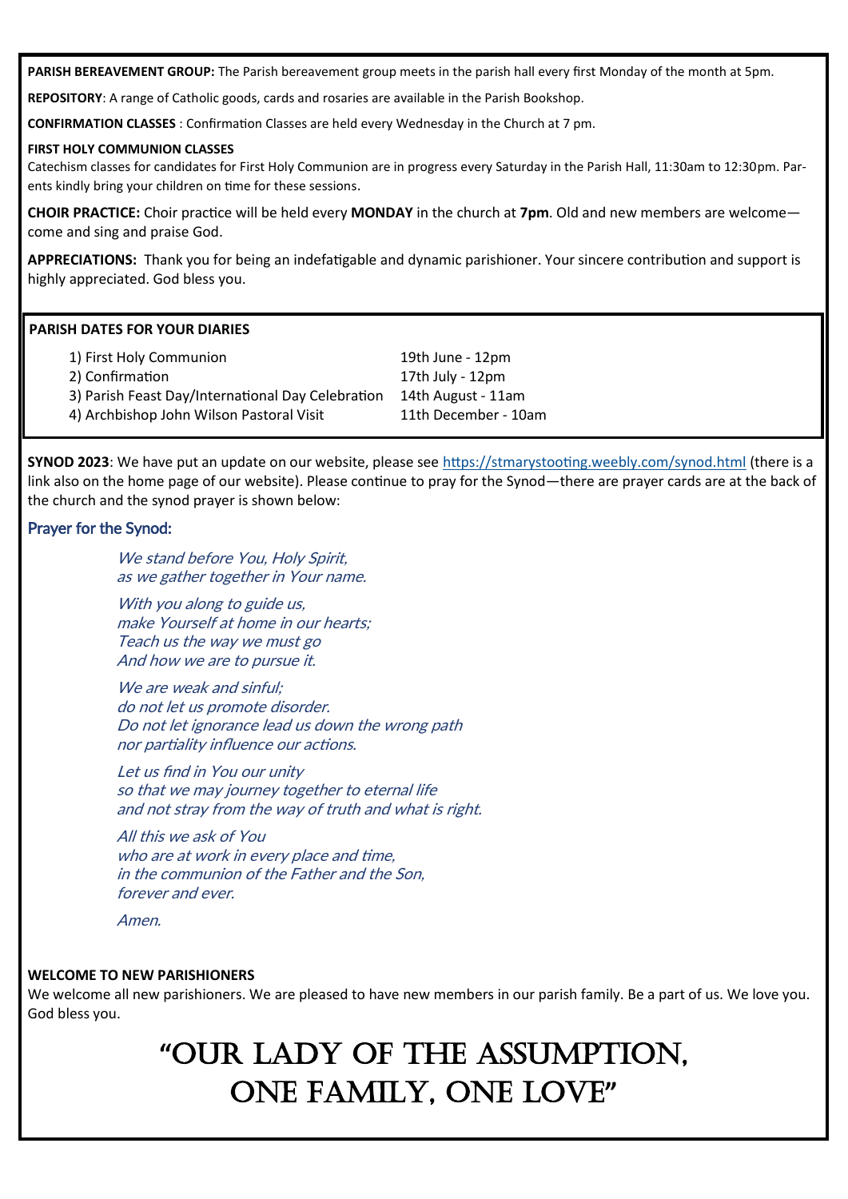**PARISH BEREAVEMENT GROUP:** The Parish bereavement group meets in the parish hall every first Monday of the month at 5pm.

**REPOSITORY**: A range of Catholic goods, cards and rosaries are available in the Parish Bookshop.

**CONFIRMATION CLASSES** : Confirmation Classes are held every Wednesday in the Church at 7 pm.

#### **FIRST HOLY COMMUNION CLASSES**

Catechism classes for candidates for First Holy Communion are in progress every Saturday in the Parish Hall, 11:30am to 12:30pm. Parents kindly bring your children on time for these sessions.

**CHOIR PRACTICE:** Choir practice will be held every **MONDAY** in the church at **7pm**. Old and new members are welcome come and sing and praise God.

**APPRECIATIONS:** Thank you for being an indefatigable and dynamic parishioner. Your sincere contribution and support is highly appreciated. God bless you.

#### **PARISH DATES FOR YOUR DIARIES**

| 1) First Holy Communion                           | 19th June - 12pm     |
|---------------------------------------------------|----------------------|
| 2) Confirmation                                   | 17th July - 12pm     |
| 3) Parish Feast Day/International Day Celebration | 14th August - 11am   |
| 4) Archbishop John Wilson Pastoral Visit          | 11th December - 10am |
|                                                   |                      |

**SYNOD 2023**: We have put an update on our website, please see <https://stmarystooting.weebly.com/synod.html> (there is a link also on the home page of our website). Please continue to pray for the Synod—there are prayer cards are at the back of the church and the synod prayer is shown below:

#### Prayer for the Synod:

We stand before You, Holy Spirit, as we gather together in Your name.

With you along to guide us, make Yourself at home in our hearts; Teach us the way we must go And how we are to pursue it.

We are weak and sinful: do not let us promote disorder. Do not let ignorance lead us down the wrong path nor partiality influence our actions.

Let us find in You our unity so that we may journey together to eternal life and not stray from the way of truth and what is right.

All this we ask of You who are at work in every place and time. in the communion of the Father and the Son, forever and ever.

Amen.

#### **WELCOME TO NEW PARISHIONERS**

We welcome all new parishioners. We are pleased to have new members in our parish family. Be a part of us. We love you. God bless you.

## **"**OUR LADY OF THE ASSUMPTION, ONE FAMILY, ONE LOVE**"**